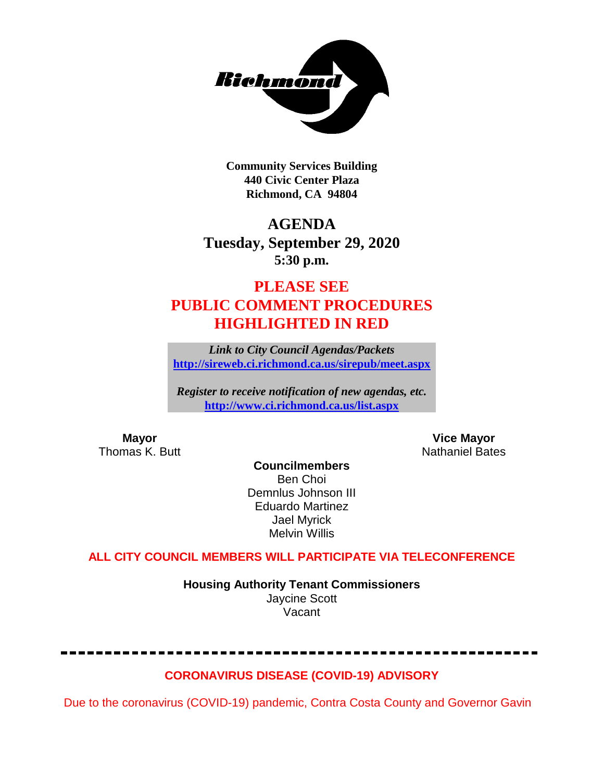

**Community Services Building 440 Civic Center Plaza Richmond, CA 94804**

# **AGENDA Tuesday, September 29, 2020 5:30 p.m.**

# **PLEASE SEE PUBLIC COMMENT PROCEDURES HIGHLIGHTED IN RED**

*Link to City Council Agendas/Packets* **<http://sireweb.ci.richmond.ca.us/sirepub/meet.aspx>**

*Register to receive notification of new agendas, etc.* **<http://www.ci.richmond.ca.us/list.aspx>**

**Mayor Mayor Wice Mayor Vice Mayor Vice Mayor Vice Mayor Vice Mayor Vice Mayor Vice Mayor Vice Mayor Vice Mayor Vice Mayor Vice Mayor Vice Mayor Vice Mayor Vice Mayor Vice Mayor Vice Mayor Nathaniel Bates** 

**Councilmembers** Ben Choi Demnlus Johnson III Eduardo Martinez Jael Myrick Melvin Willis

### **ALL CITY COUNCIL MEMBERS WILL PARTICIPATE VIA TELECONFERENCE**

**Housing Authority Tenant Commissioners** Jaycine Scott Vacant

**CORONAVIRUS DISEASE (COVID-19) ADVISORY**

Due to the coronavirus (COVID-19) pandemic, Contra Costa County and Governor Gavin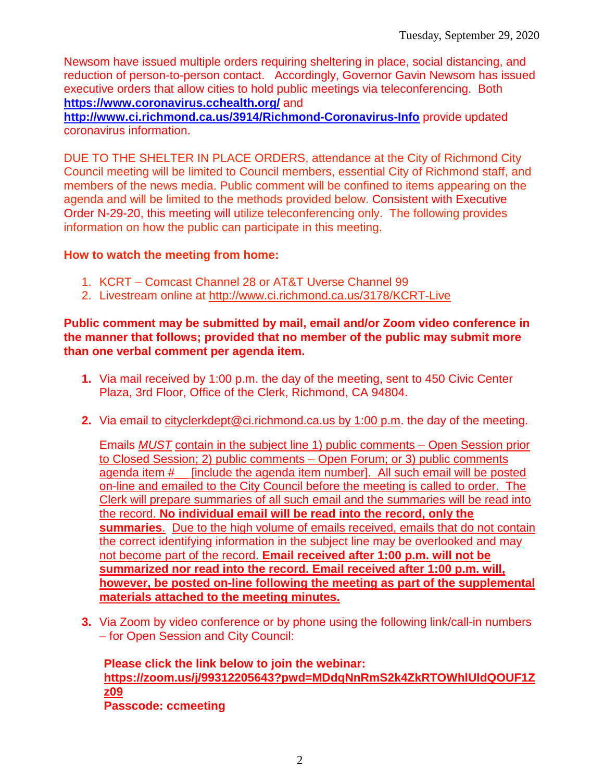Newsom have issued multiple orders requiring sheltering in place, social distancing, and reduction of person-to-person contact. Accordingly, Governor Gavin Newsom has issued executive orders that allow cities to hold public meetings via teleconferencing. Both **<https://www.coronavirus.cchealth.org/>** and

**<http://www.ci.richmond.ca.us/3914/Richmond-Coronavirus-Info>** provide updated coronavirus information.

DUE TO THE SHELTER IN PLACE ORDERS, attendance at the City of Richmond City Council meeting will be limited to Council members, essential City of Richmond staff, and members of the news media. Public comment will be confined to items appearing on the agenda and will be limited to the methods provided below. Consistent with Executive Order N-29-20, this meeting will utilize teleconferencing only. The following provides information on how the public can participate in this meeting.

### **How to watch the meeting from home:**

- 1. KCRT Comcast Channel 28 or AT&T Uverse Channel 99
- 2. Livestream online at<http://www.ci.richmond.ca.us/3178/KCRT-Live>

### **Public comment may be submitted by mail, email and/or Zoom video conference in the manner that follows; provided that no member of the public may submit more than one verbal comment per agenda item.**

- **1.** Via mail received by 1:00 p.m. the day of the meeting, sent to 450 Civic Center Plaza, 3rd Floor, Office of the Clerk, Richmond, CA 94804.
- **2.** Via email to [cityclerkdept@ci.richmond.ca.us](mailto:cityclerkdept@ci.richmond.ca.us) by 1:00 p.m. the day of the meeting.

Emails *MUST* contain in the subject line 1) public comments – Open Session prior to Closed Session; 2) public comments – Open Forum; or 3) public comments agenda item #\_\_ [include the agenda item number]. All such email will be posted on-line and emailed to the City Council before the meeting is called to order. The Clerk will prepare summaries of all such email and the summaries will be read into the record. **No individual email will be read into the record, only the summaries**. Due to the high volume of emails received, emails that do not contain the correct identifying information in the subject line may be overlooked and may not become part of the record. **Email received after 1:00 p.m. will not be summarized nor read into the record. Email received after 1:00 p.m. will, however, be posted on-line following the meeting as part of the supplemental materials attached to the meeting minutes.**

**3.** Via Zoom by video conference or by phone using the following link/call-in numbers – for Open Session and City Council:

**Please click the link below to join the webinar: [https://zoom.us/j/99312205643?pwd=MDdqNnRmS2k4ZkRTOWhlUldQOUF1Z](https://zoom.us/j/99312205643?pwd=MDdqNnRmS2k4ZkRTOWhlUldQOUF1Zz09) [z09](https://zoom.us/j/99312205643?pwd=MDdqNnRmS2k4ZkRTOWhlUldQOUF1Zz09) Passcode: ccmeeting**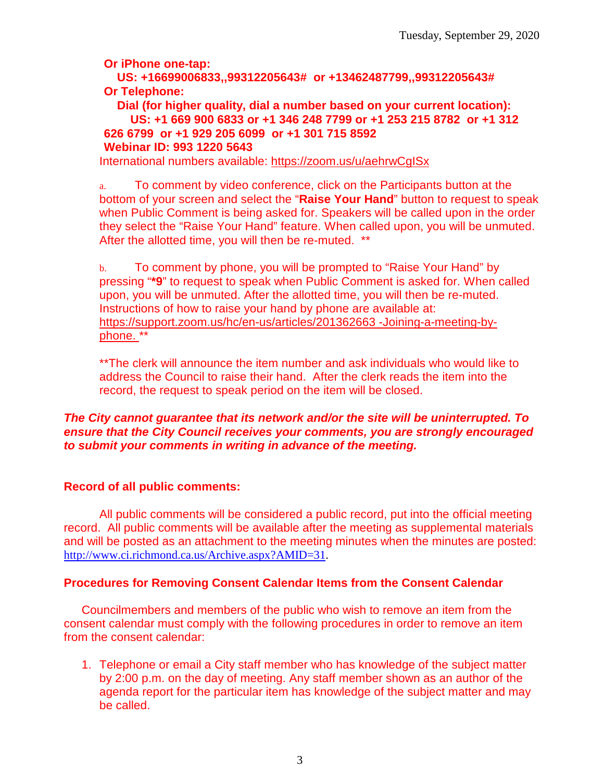**Or iPhone one-tap:**

**US: +16699006833,,99312205643# or +13462487799,,99312205643# Or Telephone:**

**Dial (for higher quality, dial a number based on your current location): US: +1 669 900 6833 or +1 346 248 7799 or +1 253 215 8782 or +1 312 626 6799 or +1 929 205 6099 or +1 301 715 8592 Webinar ID: 993 1220 5643**

International numbers available:<https://zoom.us/u/aehrwCgISx>

a. To comment by video conference, click on the Participants button at the bottom of your screen and select the "**Raise Your Hand**" button to request to speak when Public Comment is being asked for. Speakers will be called upon in the order they select the "Raise Your Hand" feature. When called upon, you will be unmuted. After the allotted time, you will then be re-muted. \*\*

b. To comment by phone, you will be prompted to "Raise Your Hand" by pressing "**\*9**" to request to speak when Public Comment is asked for. When called upon, you will be unmuted. After the allotted time, you will then be re-muted. Instructions of how to raise your hand by phone are available at: [https://support.zoom.us/hc/en-us/articles/201362663 -Joining-a-meeting-by](https://support.zoom.us/hc/en-us/articles/201362663)[phone.](https://support.zoom.us/hc/en-us/articles/201362663) \*\*

\*\*The clerk will announce the item number and ask individuals who would like to address the Council to raise their hand. After the clerk reads the item into the record, the request to speak period on the item will be closed.

### *The City cannot guarantee that its network and/or the site will be uninterrupted. To ensure that the City Council receives your comments, you are strongly encouraged to submit your comments in writing in advance of the meeting.*

### **Record of all public comments:**

All public comments will be considered a public record, put into the official meeting record. All public comments will be available after the meeting as supplemental materials and will be posted as an attachment to the meeting minutes when the minutes are posted: [http://www.ci.richmond.ca.us/Archive.aspx?AMID=31.](http://www.ci.richmond.ca.us/Archive.aspx?AMID=31)

### **Procedures for Removing Consent Calendar Items from the Consent Calendar**

Councilmembers and members of the public who wish to remove an item from the consent calendar must comply with the following procedures in order to remove an item from the consent calendar:

1. Telephone or email a City staff member who has knowledge of the subject matter by 2:00 p.m. on the day of meeting. Any staff member shown as an author of the agenda report for the particular item has knowledge of the subject matter and may be called.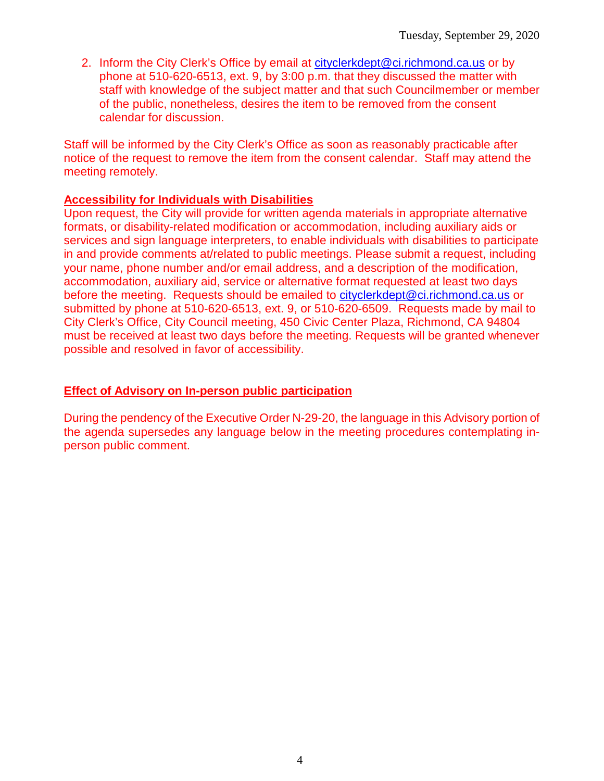2. Inform the City Clerk's Office by email at [cityclerkdept@ci.richmond.ca.us](mailto:cityclerkdept@ci.richmond.ca.us) or by phone at 510-620-6513, ext. 9, by 3:00 p.m. that they discussed the matter with staff with knowledge of the subject matter and that such Councilmember or member of the public, nonetheless, desires the item to be removed from the consent calendar for discussion.

Staff will be informed by the City Clerk's Office as soon as reasonably practicable after notice of the request to remove the item from the consent calendar. Staff may attend the meeting remotely.

### **Accessibility for Individuals with Disabilities**

Upon request, the City will provide for written agenda materials in appropriate alternative formats, or disability-related modification or accommodation, including auxiliary aids or services and sign language interpreters, to enable individuals with disabilities to participate in and provide comments at/related to public meetings. Please submit a request, including your name, phone number and/or email address, and a description of the modification, accommodation, auxiliary aid, service or alternative format requested at least two days before the meeting. Requests should be emailed to [cityclerkdept@ci.richmond.ca.us](mailto:cityclerkdept@ci.richmond.ca.us) or submitted by phone at 510-620-6513, ext. 9, or 510-620-6509. Requests made by mail to City Clerk's Office, City Council meeting, 450 Civic Center Plaza, Richmond, CA 94804 must be received at least two days before the meeting. Requests will be granted whenever possible and resolved in favor of accessibility.

### **Effect of Advisory on In-person public participation**

During the pendency of the Executive Order N-29-20, the language in this Advisory portion of the agenda supersedes any language below in the meeting procedures contemplating inperson public comment.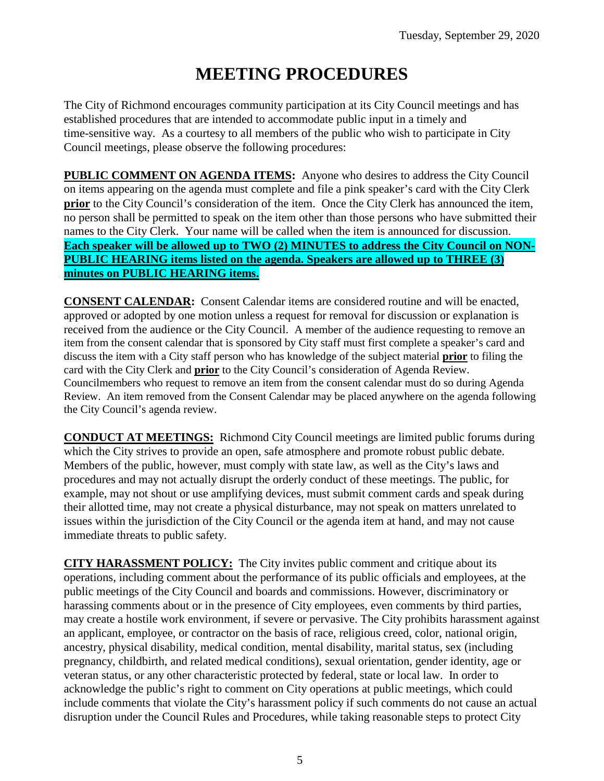# **MEETING PROCEDURES**

The City of Richmond encourages community participation at its City Council meetings and has established procedures that are intended to accommodate public input in a timely and time-sensitive way. As a courtesy to all members of the public who wish to participate in City Council meetings, please observe the following procedures:

**PUBLIC COMMENT ON AGENDA ITEMS:** Anyone who desires to address the City Council on items appearing on the agenda must complete and file a pink speaker's card with the City Clerk **prior** to the City Council's consideration of the item. Once the City Clerk has announced the item, no person shall be permitted to speak on the item other than those persons who have submitted their names to the City Clerk. Your name will be called when the item is announced for discussion. **Each speaker will be allowed up to TWO (2) MINUTES to address the City Council on NON-PUBLIC HEARING items listed on the agenda. Speakers are allowed up to THREE (3) minutes on PUBLIC HEARING items.**

**CONSENT CALENDAR:** Consent Calendar items are considered routine and will be enacted, approved or adopted by one motion unless a request for removal for discussion or explanation is received from the audience or the City Council. A member of the audience requesting to remove an item from the consent calendar that is sponsored by City staff must first complete a speaker's card and discuss the item with a City staff person who has knowledge of the subject material **prior** to filing the card with the City Clerk and **prior** to the City Council's consideration of Agenda Review. Councilmembers who request to remove an item from the consent calendar must do so during Agenda Review. An item removed from the Consent Calendar may be placed anywhere on the agenda following the City Council's agenda review.

**CONDUCT AT MEETINGS:** Richmond City Council meetings are limited public forums during which the City strives to provide an open, safe atmosphere and promote robust public debate. Members of the public, however, must comply with state law, as well as the City's laws and procedures and may not actually disrupt the orderly conduct of these meetings. The public, for example, may not shout or use amplifying devices, must submit comment cards and speak during their allotted time, may not create a physical disturbance, may not speak on matters unrelated to issues within the jurisdiction of the City Council or the agenda item at hand, and may not cause immediate threats to public safety.

**CITY HARASSMENT POLICY:** The City invites public comment and critique about its operations, including comment about the performance of its public officials and employees, at the public meetings of the City Council and boards and commissions. However, discriminatory or harassing comments about or in the presence of City employees, even comments by third parties, may create a hostile work environment, if severe or pervasive. The City prohibits harassment against an applicant, employee, or contractor on the basis of race, religious creed, color, national origin, ancestry, physical disability, medical condition, mental disability, marital status, sex (including pregnancy, childbirth, and related medical conditions), sexual orientation, gender identity, age or veteran status, or any other characteristic protected by federal, state or local law. In order to acknowledge the public's right to comment on City operations at public meetings, which could include comments that violate the City's harassment policy if such comments do not cause an actual disruption under the Council Rules and Procedures, while taking reasonable steps to protect City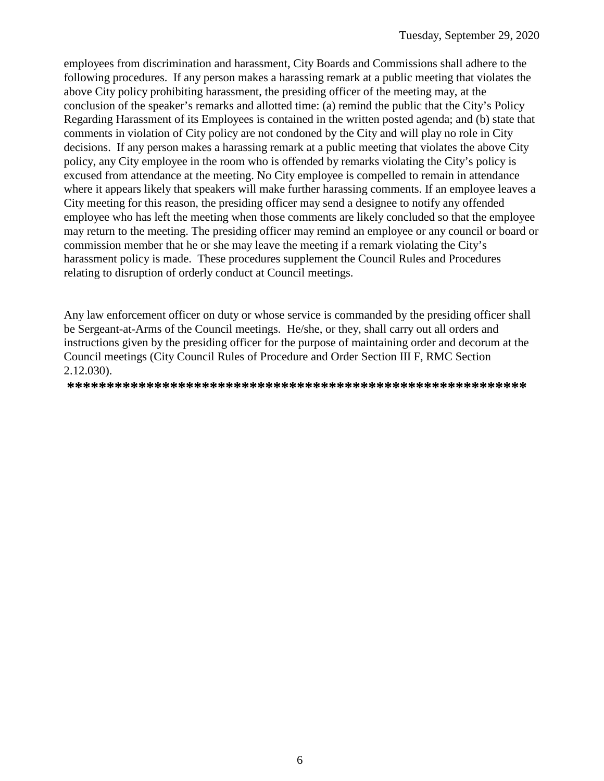employees from discrimination and harassment, City Boards and Commissions shall adhere to the following procedures. If any person makes a harassing remark at a public meeting that violates the above City policy prohibiting harassment, the presiding officer of the meeting may, at the conclusion of the speaker's remarks and allotted time: (a) remind the public that the City's Policy Regarding Harassment of its Employees is contained in the written posted agenda; and (b) state that comments in violation of City policy are not condoned by the City and will play no role in City decisions. If any person makes a harassing remark at a public meeting that violates the above City policy, any City employee in the room who is offended by remarks violating the City's policy is excused from attendance at the meeting. No City employee is compelled to remain in attendance where it appears likely that speakers will make further harassing comments. If an employee leaves a City meeting for this reason, the presiding officer may send a designee to notify any offended employee who has left the meeting when those comments are likely concluded so that the employee may return to the meeting. The presiding officer may remind an employee or any council or board or commission member that he or she may leave the meeting if a remark violating the City's harassment policy is made. These procedures supplement the Council Rules and Procedures relating to disruption of orderly conduct at Council meetings.

Any law enforcement officer on duty or whose service is commanded by the presiding officer shall be Sergeant-at-Arms of the Council meetings. He/she, or they, shall carry out all orders and instructions given by the presiding officer for the purpose of maintaining order and decorum at the Council meetings (City Council Rules of Procedure and Order Section III F, RMC Section 2.12.030).

**\*\*\*\*\*\*\*\*\*\*\*\*\*\*\*\*\*\*\*\*\*\*\*\*\*\*\*\*\*\*\*\*\*\*\*\*\*\*\*\*\*\*\*\*\*\*\*\*\*\*\*\*\*\*\*\*\*\***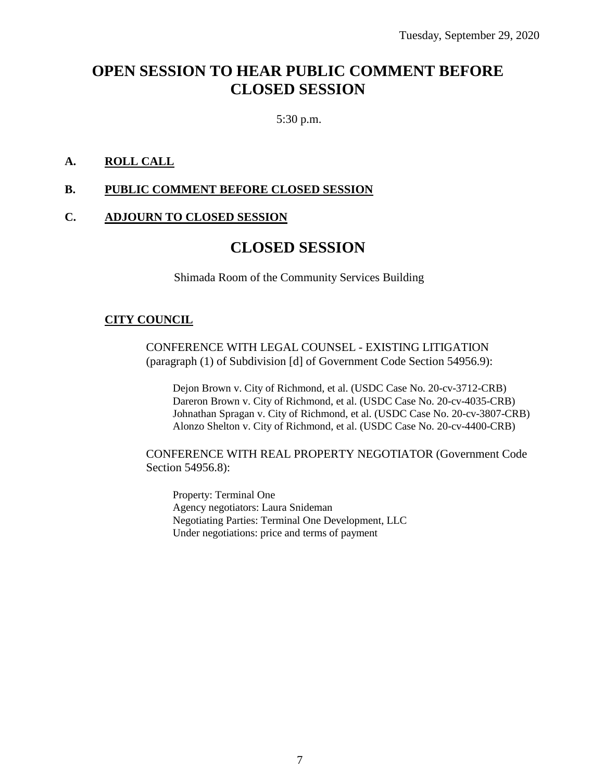### **OPEN SESSION TO HEAR PUBLIC COMMENT BEFORE CLOSED SESSION**

5:30 p.m.

### **A. ROLL CALL**

### **B. PUBLIC COMMENT BEFORE CLOSED SESSION**

### **C. ADJOURN TO CLOSED SESSION**

### **CLOSED SESSION**

Shimada Room of the Community Services Building

### **CITY COUNCIL**

CONFERENCE WITH LEGAL COUNSEL - EXISTING LITIGATION (paragraph (1) of Subdivision [d] of Government Code Section 54956.9):

Dejon Brown v. City of Richmond, et al. (USDC Case No. 20-cv-3712-CRB) Dareron Brown v. City of Richmond, et al. (USDC Case No. 20-cv-4035-CRB) Johnathan Spragan v. City of Richmond, et al. (USDC Case No. 20-cv-3807-CRB) Alonzo Shelton v. City of Richmond, et al. (USDC Case No. 20-cv-4400-CRB)

CONFERENCE WITH REAL PROPERTY NEGOTIATOR (Government Code Section 54956.8):

Property: Terminal One Agency negotiators: Laura Snideman Negotiating Parties: Terminal One Development, LLC Under negotiations: price and terms of payment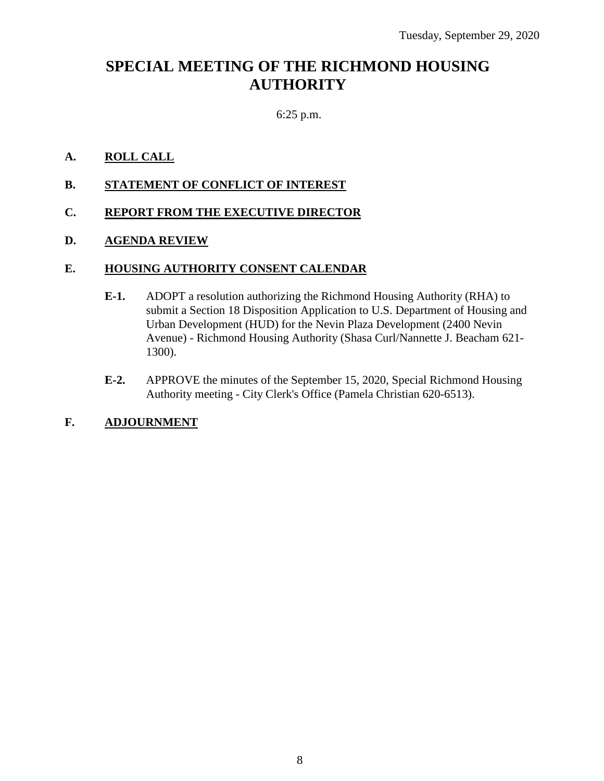# **SPECIAL MEETING OF THE RICHMOND HOUSING AUTHORITY**

### 6:25 p.m.

### **A. ROLL CALL**

**B. STATEMENT OF CONFLICT OF INTEREST**

### **C. REPORT FROM THE EXECUTIVE DIRECTOR**

### **D. AGENDA REVIEW**

### **E. HOUSING AUTHORITY CONSENT CALENDAR**

- **E-1.** ADOPT a resolution authorizing the Richmond Housing Authority (RHA) to submit a Section 18 Disposition Application to U.S. Department of Housing and Urban Development (HUD) for the Nevin Plaza Development (2400 Nevin Avenue) - Richmond Housing Authority (Shasa Curl/Nannette J. Beacham 621- 1300).
- **E-2.** APPROVE the minutes of the September 15, 2020, Special Richmond Housing Authority meeting - City Clerk's Office (Pamela Christian 620-6513).

### **F. ADJOURNMENT**